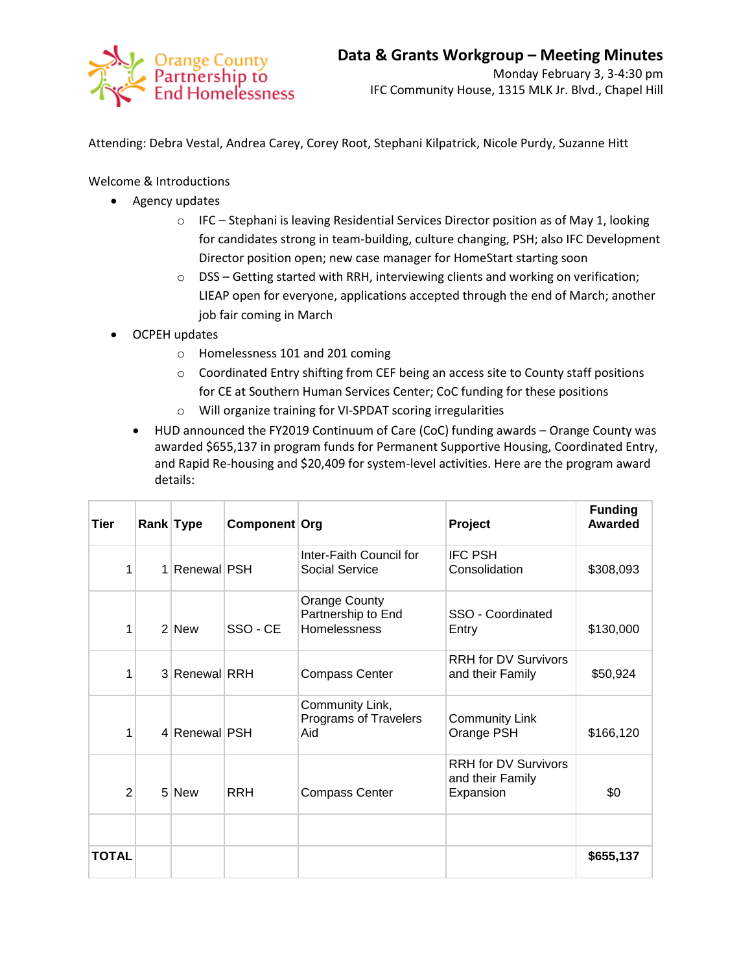

Attending: Debra Vestal, Andrea Carey, Corey Root, Stephani Kilpatrick, Nicole Purdy, Suzanne Hitt

Welcome & Introductions

- Agency updates
	- $\circ$  IFC Stephani is leaving Residential Services Director position as of May 1, looking for candidates strong in team-building, culture changing, PSH; also IFC Development Director position open; new case manager for HomeStart starting soon
	- o DSS Getting started with RRH, interviewing clients and working on verification; LIEAP open for everyone, applications accepted through the end of March; another job fair coming in March
- OCPEH updates
	- o Homelessness 101 and 201 coming
	- $\circ$  Coordinated Entry shifting from CEF being an access site to County staff positions for CE at Southern Human Services Center; CoC funding for these positions
	- o Will organize training for VI-SPDAT scoring irregularities
	- HUD announced the FY2019 Continuum of Care (CoC) funding awards Orange County was awarded \$655,137 in program funds for Permanent Supportive Housing, Coordinated Entry, and Rapid Re-housing and \$20,409 for system-level activities. Here are the program award details:

| Tier           | Rank Type     | Component Org |                                                            | Project                                                      | <b>Funding</b><br><b>Awarded</b> |
|----------------|---------------|---------------|------------------------------------------------------------|--------------------------------------------------------------|----------------------------------|
| 1              | 1 Renewal PSH |               | Inter-Faith Council for<br>Social Service                  | <b>IFC PSH</b><br>Consolidation                              | \$308,093                        |
| 1              | $2$ New       | SSO - CE      | Orange County<br>Partnership to End<br><b>Homelessness</b> | SSO - Coordinated<br>Entry                                   | \$130,000                        |
| 1              | 3 Renewal RRH |               | <b>Compass Center</b>                                      | <b>RRH</b> for DV Survivors<br>and their Family              | \$50,924                         |
| 1              | 4 Renewal PSH |               | Community Link,<br>Programs of Travelers<br>Aid            | <b>Community Link</b><br>Orange PSH                          | \$166,120                        |
| $\overline{2}$ | 5 New         | <b>RRH</b>    | <b>Compass Center</b>                                      | <b>RRH</b> for DV Survivors<br>and their Family<br>Expansion | \$0                              |
| TOTAL          |               |               |                                                            |                                                              | \$655,137                        |